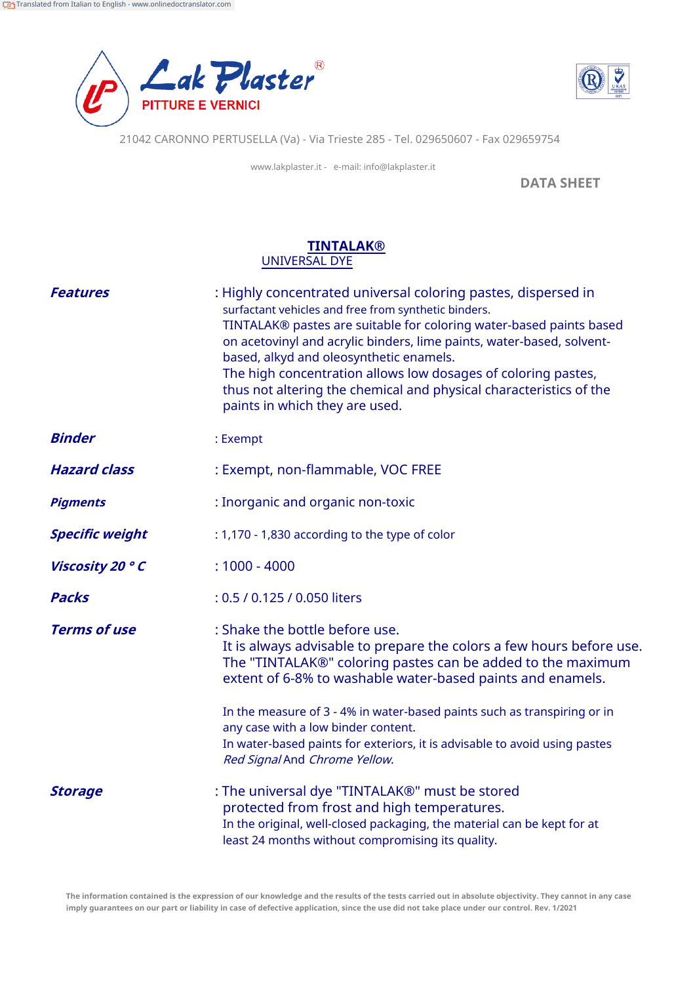



21042 CARONNO PERTUSELLA (Va) - Via Trieste 285 - Tel. 029650607 - Fax 029659754

www.lakplaster.it - e-mail: info@lakplaster.it

**DATA SHEET**

## **TINTALAK®** UNIVERSAL DYE

| <b>Features</b>        | : Highly concentrated universal coloring pastes, dispersed in<br>surfactant vehicles and free from synthetic binders.<br>TINTALAK® pastes are suitable for coloring water-based paints based<br>on acetovinyl and acrylic binders, lime paints, water-based, solvent-<br>based, alkyd and oleosynthetic enamels.<br>The high concentration allows low dosages of coloring pastes,<br>thus not altering the chemical and physical characteristics of the<br>paints in which they are used. |
|------------------------|-------------------------------------------------------------------------------------------------------------------------------------------------------------------------------------------------------------------------------------------------------------------------------------------------------------------------------------------------------------------------------------------------------------------------------------------------------------------------------------------|
| <b>Binder</b>          | : Exempt                                                                                                                                                                                                                                                                                                                                                                                                                                                                                  |
| <b>Hazard class</b>    | : Exempt, non-flammable, VOC FREE                                                                                                                                                                                                                                                                                                                                                                                                                                                         |
| <b>Pigments</b>        | : Inorganic and organic non-toxic                                                                                                                                                                                                                                                                                                                                                                                                                                                         |
| <b>Specific weight</b> | : 1,170 - 1,830 according to the type of color                                                                                                                                                                                                                                                                                                                                                                                                                                            |
| Viscosity 20 ° C       | $: 1000 - 4000$                                                                                                                                                                                                                                                                                                                                                                                                                                                                           |
| <b>Packs</b>           | : 0.5 / 0.125 / 0.050 liters                                                                                                                                                                                                                                                                                                                                                                                                                                                              |
| <b>Terms of use</b>    | : Shake the bottle before use.<br>It is always advisable to prepare the colors a few hours before use.<br>The "TINTALAK®" coloring pastes can be added to the maximum<br>extent of 6-8% to washable water-based paints and enamels.<br>In the measure of 3 - 4% in water-based paints such as transpiring or in<br>any case with a low binder content.<br>In water-based paints for exteriors, it is advisable to avoid using pastes<br>Red Signal And Chrome Yellow.                     |
| <b>Storage</b>         | : The universal dye "TINTALAK®" must be stored<br>protected from frost and high temperatures.<br>In the original, well-closed packaging, the material can be kept for at<br>least 24 months without compromising its quality.                                                                                                                                                                                                                                                             |

**The information contained is the expression of our knowledge and the results of the tests carried out in absolute objectivity. They cannot in any case imply guarantees on our part or liability in case of defective application, since the use did not take place under our control. Rev. 1/2021**